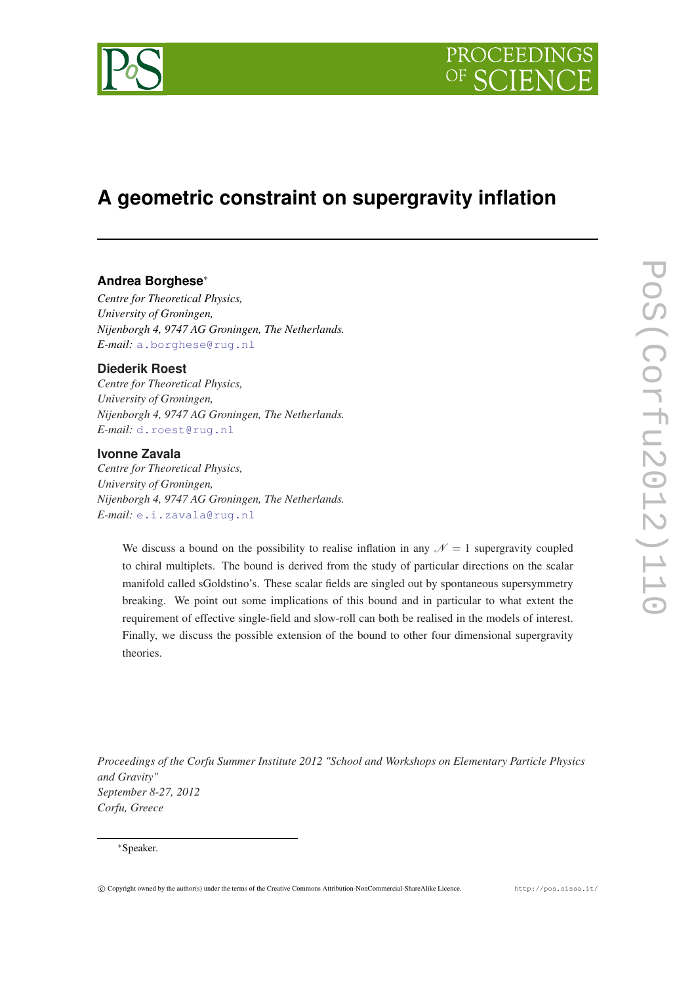

# **A geometric constraint on supergravity inflation**

# **Andrea Borghese**<sup>∗</sup>

*Centre for Theoretical Physics, University of Groningen, Nijenborgh 4, 9747 AG Groningen, The Netherlands. E-mail:* [a.borghese@rug.nl](mailto:a.borghese@rug.nl)

# **Diederik Roest**

*Centre for Theoretical Physics, University of Groningen, Nijenborgh 4, 9747 AG Groningen, The Netherlands. E-mail:* [d.roest@rug.nl](mailto:d.roest@rug.nl)

# **Ivonne Zavala**

*Centre for Theoretical Physics, University of Groningen, Nijenborgh 4, 9747 AG Groningen, The Netherlands. E-mail:* [e.i.zavala@rug.nl](mailto:e.i.zavala@rug.nl)

We discuss a bound on the possibility to realise inflation in any  $\mathcal{N} = 1$  supergravity coupled to chiral multiplets. The bound is derived from the study of particular directions on the scalar manifold called sGoldstino's. These scalar fields are singled out by spontaneous supersymmetry breaking. We point out some implications of this bound and in particular to what extent the requirement of effective single-field and slow-roll can both be realised in the models of interest. Finally, we discuss the possible extension of the bound to other four dimensional supergravity theories.

*Proceedings of the Corfu Summer Institute 2012 "School and Workshops on Elementary Particle Physics and Gravity" September 8-27, 2012 Corfu, Greece*

## <sup>∗</sup>Speaker.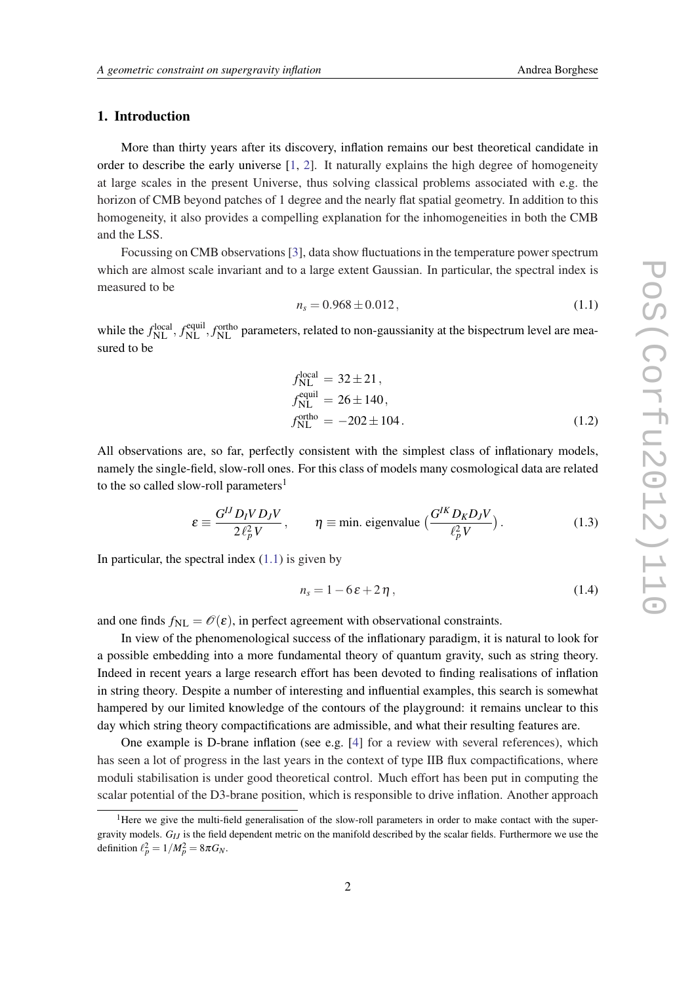# 1. Introduction

More than thirty years after its discovery, inflation remains our best theoretical candidate in order to describe the early universe [[1](#page-12-0), [2](#page-12-0)]. It naturally explains the high degree of homogeneity at large scales in the present Universe, thus solving classical problems associated with e.g. the horizon of CMB beyond patches of 1 degree and the nearly flat spatial geometry. In addition to this homogeneity, it also provides a compelling explanation for the inhomogeneities in both the CMB and the LSS.

Focussing on CMB observations [\[3](#page-12-0)], data show fluctuations in the temperature power spectrum which are almost scale invariant and to a large extent Gaussian. In particular, the spectral index is measured to be

$$
n_s = 0.968 \pm 0.012, \tag{1.1}
$$

while the  $f_{\rm NL}^{\rm local}$ ,  $f_{\rm NL}^{\rm equil}$ , *f*<sub>NL</sub> parameters, related to non-gaussianity at the bispectrum level are measured to be

$$
f_{\text{NL}}^{\text{local}} = 32 \pm 21,
$$
  
\n
$$
f_{\text{NL}}^{\text{equil}} = 26 \pm 140,
$$
  
\n
$$
f_{\text{NL}}^{\text{ortho}} = -202 \pm 104.
$$
 (1.2)

All observations are, so far, perfectly consistent with the simplest class of inflationary models, namely the single-field, slow-roll ones. For this class of models many cosmological data are related to the so called slow-roll parameters<sup>1</sup>

$$
\varepsilon \equiv \frac{G^{IJ} D_I V D_J V}{2 \ell_P^2 V}, \qquad \eta \equiv \text{min. eigenvalue } \left( \frac{G^{IK} D_K D_J V}{\ell_P^2 V} \right). \tag{1.3}
$$

In particular, the spectral index  $(1.1)$  is given by

$$
n_s = 1 - 6\varepsilon + 2\eta \,,\tag{1.4}
$$

and one finds  $f_{\text{NL}} = \mathcal{O}(\varepsilon)$ , in perfect agreement with observational constraints.

In view of the phenomenological success of the inflationary paradigm, it is natural to look for a possible embedding into a more fundamental theory of quantum gravity, such as string theory. Indeed in recent years a large research effort has been devoted to finding realisations of inflation in string theory. Despite a number of interesting and influential examples, this search is somewhat hampered by our limited knowledge of the contours of the playground: it remains unclear to this day which string theory compactifications are admissible, and what their resulting features are.

One example is D-brane inflation (see e.g. [[4](#page-12-0)] for a review with several references), which has seen a lot of progress in the last years in the context of type IIB flux compactifications, where moduli stabilisation is under good theoretical control. Much effort has been put in computing the scalar potential of the D3-brane position, which is responsible to drive inflation. Another approach

<sup>&</sup>lt;sup>1</sup>Here we give the multi-field generalisation of the slow-roll parameters in order to make contact with the supergravity models. *GIJ* is the field dependent metric on the manifold described by the scalar fields. Furthermore we use the definition  $\ell_p^2 = 1/M_p^2 = 8\pi G_N$ .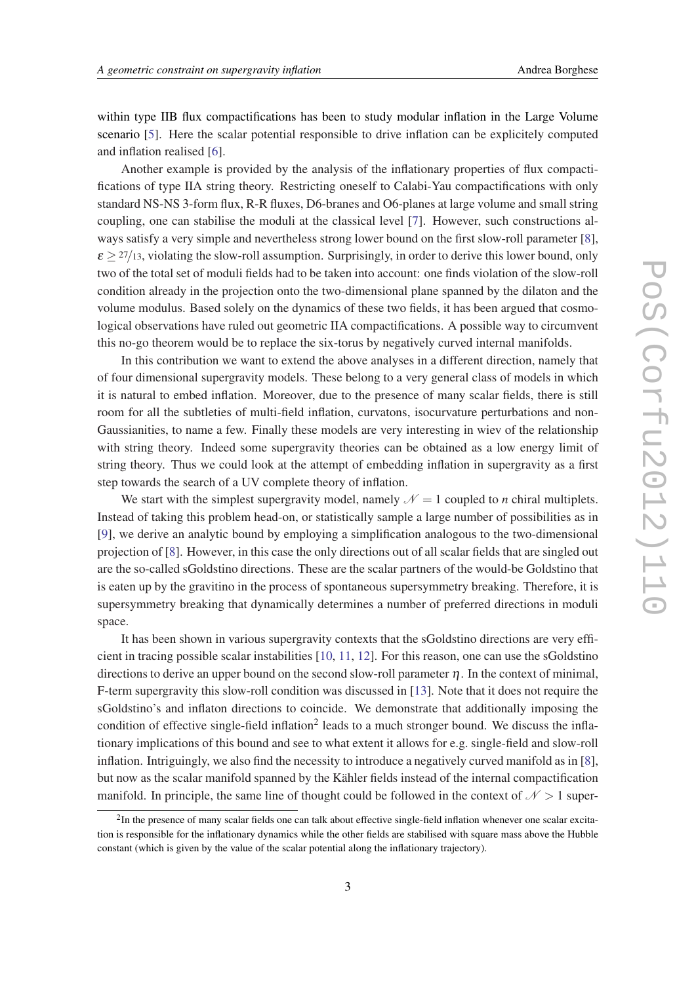within type IIB flux compactifications has been to study modular inflation in the Large Volume scenario [[5](#page-12-0)]. Here the scalar potential responsible to drive inflation can be explicitely computed and inflation realised [\[6\]](#page-12-0).

Another example is provided by the analysis of the inflationary properties of flux compactifications of type IIA string theory. Restricting oneself to Calabi-Yau compactifications with only standard NS-NS 3-form flux, R-R fluxes, D6-branes and O6-planes at large volume and small string coupling, one can stabilise the moduli at the classical level [[7](#page-12-0)]. However, such constructions always satisfy a very simple and nevertheless strong lower bound on the first slow-roll parameter [\[8\]](#page-12-0),  $\varepsilon \geq 27/13$ , violating the slow-roll assumption. Surprisingly, in order to derive this lower bound, only two of the total set of moduli fields had to be taken into account: one finds violation of the slow-roll condition already in the projection onto the two-dimensional plane spanned by the dilaton and the volume modulus. Based solely on the dynamics of these two fields, it has been argued that cosmological observations have ruled out geometric IIA compactifications. A possible way to circumvent this no-go theorem would be to replace the six-torus by negatively curved internal manifolds.

In this contribution we want to extend the above analyses in a different direction, namely that of four dimensional supergravity models. These belong to a very general class of models in which it is natural to embed inflation. Moreover, due to the presence of many scalar fields, there is still room for all the subtleties of multi-field inflation, curvatons, isocurvature perturbations and non-Gaussianities, to name a few. Finally these models are very interesting in wiev of the relationship with string theory. Indeed some supergravity theories can be obtained as a low energy limit of string theory. Thus we could look at the attempt of embedding inflation in supergravity as a first step towards the search of a UV complete theory of inflation.

We start with the simplest supergravity model, namely  $\mathcal{N} = 1$  coupled to *n* chiral multiplets. Instead of taking this problem head-on, or statistically sample a large number of possibilities as in [[9](#page-12-0)], we derive an analytic bound by employing a simplification analogous to the two-dimensional projection of [[8](#page-12-0)]. However, in this case the only directions out of all scalar fields that are singled out are the so-called sGoldstino directions. These are the scalar partners of the would-be Goldstino that is eaten up by the gravitino in the process of spontaneous supersymmetry breaking. Therefore, it is supersymmetry breaking that dynamically determines a number of preferred directions in moduli space.

It has been shown in various supergravity contexts that the sGoldstino directions are very efficient in tracing possible scalar instabilities [[10](#page-12-0), [11,](#page-12-0) [12\]](#page-12-0). For this reason, one can use the sGoldstino directions to derive an upper bound on the second slow-roll parameter  $n$ . In the context of minimal, F-term supergravity this slow-roll condition was discussed in [\[13](#page-12-0)]. Note that it does not require the sGoldstino's and inflaton directions to coincide. We demonstrate that additionally imposing the condition of effective single-field inflation<sup>2</sup> leads to a much stronger bound. We discuss the inflationary implications of this bound and see to what extent it allows for e.g. single-field and slow-roll inflation. Intriguingly, we also find the necessity to introduce a negatively curved manifold as in [\[8\]](#page-12-0), but now as the scalar manifold spanned by the Kähler fields instead of the internal compactification manifold. In principle, the same line of thought could be followed in the context of  $N > 1$  super-

<sup>&</sup>lt;sup>2</sup>In the presence of many scalar fields one can talk about effective single-field inflation whenever one scalar excitation is responsible for the inflationary dynamics while the other fields are stabilised with square mass above the Hubble constant (which is given by the value of the scalar potential along the inflationary trajectory).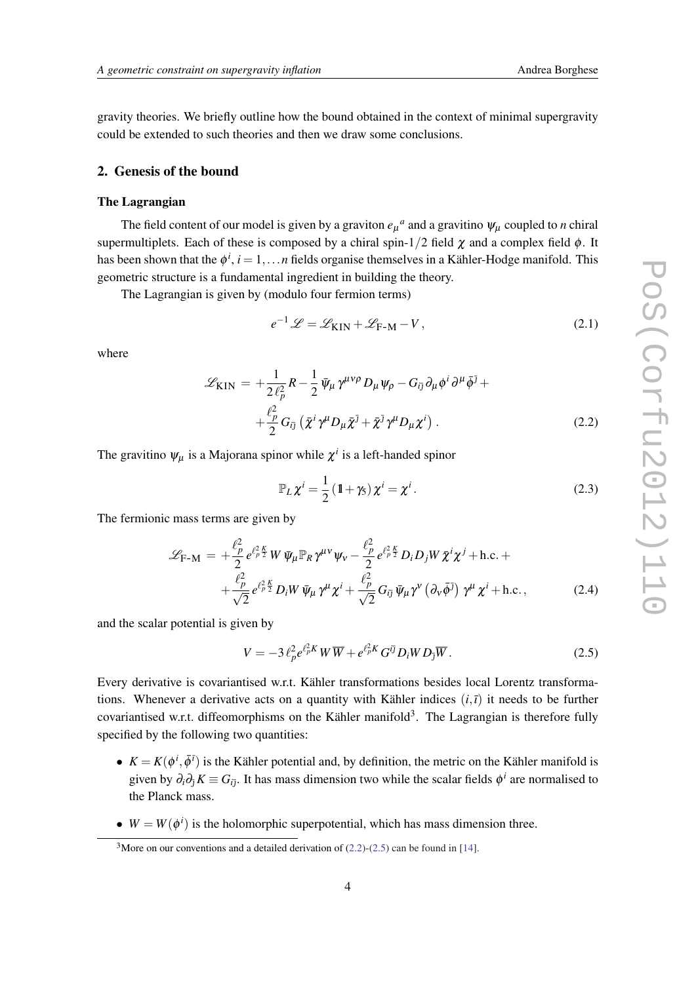<span id="page-3-0"></span>gravity theories. We briefly outline how the bound obtained in the context of minimal supergravity could be extended to such theories and then we draw some conclusions.

# 2. Genesis of the bound

#### The Lagrangian

The field content of our model is given by a graviton  $e_{\mu}{}^{a}$  and a gravitino  $\psi_{\mu}$  coupled to *n* chiral supermultiplets. Each of these is composed by a chiral spin-1/2 field  $\chi$  and a complex field  $\phi$ . It has been shown that the  $\phi^i$ ,  $i = 1, \ldots n$  fields organise themselves in a Kähler-Hodge manifold. This geometric structure is a fundamental ingredient in building the theory.

The Lagrangian is given by (modulo four fermion terms)

$$
e^{-1}\mathcal{L} = \mathcal{L}_{\text{KIN}} + \mathcal{L}_{\text{F-M}} - V, \qquad (2.1)
$$

where

$$
\mathcal{L}_{\text{KIN}} = +\frac{1}{2\ell_p^2} R - \frac{1}{2} \bar{\psi}_\mu \gamma^{\mu\nu\rho} D_\mu \psi_\rho - G_{i\bar{j}} \partial_\mu \phi^i \partial^\mu \bar{\phi}^{\bar{j}} + + \frac{\ell_p^2}{2} G_{i\bar{j}} \left( \bar{\chi}^i \gamma^\mu D_\mu \bar{\chi}^{\bar{j}} + \bar{\chi}^{\bar{j}} \gamma^\mu D_\mu \chi^i \right).
$$
 (2.2)

The gravitino  $\psi_{\mu}$  is a Majorana spinor while  $\chi^{i}$  is a left-handed spinor

$$
\mathbb{P}_L \chi^i = \frac{1}{2} \left( \mathbb{1} + \gamma_5 \right) \chi^i = \chi^i. \tag{2.3}
$$

The fermionic mass terms are given by

$$
\mathcal{L}_{\text{F-M}} = +\frac{\ell_p^2}{2} e^{\ell_p^2 \frac{K}{2}} W \bar{\psi}_\mu \mathbb{P}_R \gamma^{\mu\nu} \psi_\nu - \frac{\ell_p^2}{2} e^{\ell_p^2 \frac{K}{2}} D_i D_j W \bar{\chi}^i \chi^j + \text{h.c.} + + \frac{\ell_p^2}{\sqrt{2}} e^{\ell_p^2 \frac{K}{2}} D_i W \bar{\psi}_\mu \gamma^\mu \chi^i + \frac{\ell_p^2}{\sqrt{2}} G_{i\bar{j}} \bar{\psi}_\mu \gamma^\nu \left( \partial_\nu \bar{\phi}^{\bar{j}} \right) \gamma^\mu \chi^i + \text{h.c.}, \tag{2.4}
$$

and the scalar potential is given by

$$
V = -3 \ell_p^2 e^{\ell_p^2 K} W \overline{W} + e^{\ell_p^2 K} G^{i\bar{j}} D_i W D_{\bar{j}} \overline{W} . \qquad (2.5)
$$

Every derivative is covariantised w.r.t. Kähler transformations besides local Lorentz transformations. Whenever a derivative acts on a quantity with Kähler indices  $(i, \bar{i})$  it needs to be further covariantised w.r.t. diffeomorphisms on the Kähler manifold<sup>3</sup>. The Lagrangian is therefore fully specified by the following two quantities:

- $K = K(\phi^i, \bar{\phi}^i)$  is the Kähler potential and, by definition, the metric on the Kähler manifold is given by  $\partial_i \partial_{\bar{j}} K \equiv G_{i\bar{j}}$ . It has mass dimension two while the scalar fields  $\phi^i$  are normalised to the Planck mass.
- $W = W(\phi^i)$  is the holomorphic superpotential, which has mass dimension three.

<sup>&</sup>lt;sup>3</sup>More on our conventions and a detailed derivation of  $(2.2)-(2.5)$  can be found in [\[14](#page-12-0)].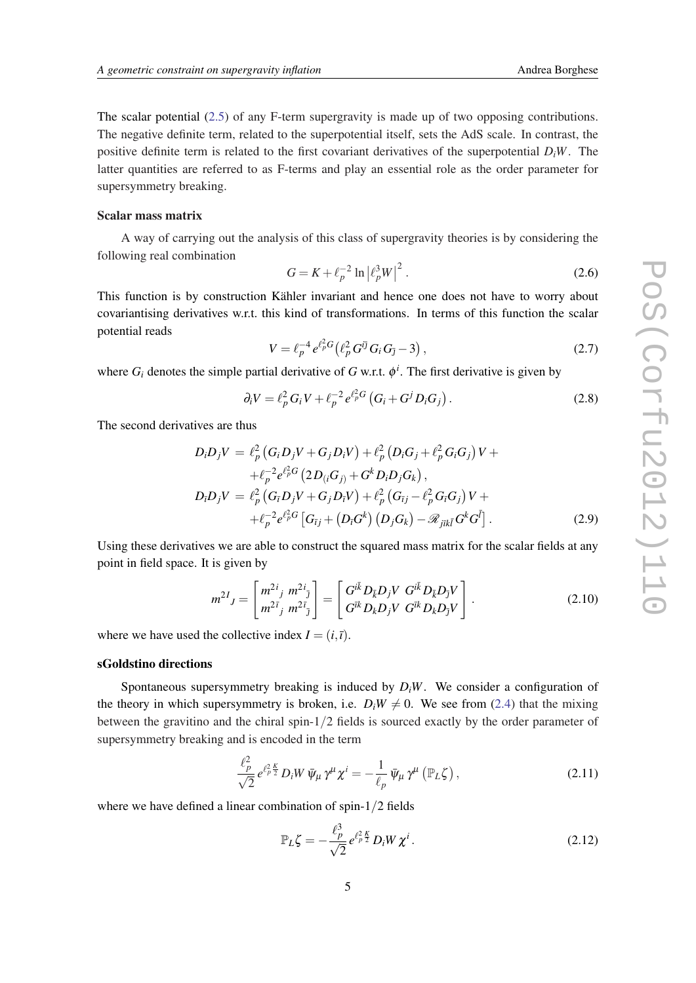The scalar potential ([2.5](#page-3-0)) of any F-term supergravity is made up of two opposing contributions. The negative definite term, related to the superpotential itself, sets the AdS scale. In contrast, the positive definite term is related to the first covariant derivatives of the superpotential  $D_iW$ . The latter quantities are referred to as F-terms and play an essential role as the order parameter for supersymmetry breaking.

## Scalar mass matrix

A way of carrying out the analysis of this class of supergravity theories is by considering the following real combination

$$
G = K + \ell_p^{-2} \ln |\ell_p^3 W|^2.
$$
 (2.6)

This function is by construction Kähler invariant and hence one does not have to worry about covariantising derivatives w.r.t. this kind of transformations. In terms of this function the scalar potential reads

$$
V = \ell_p^{-4} e^{\ell_p^2 G} (\ell_p^2 G^{i\bar{j}} G_i G_{\bar{j}} - 3), \qquad (2.7)
$$

where  $G_i$  denotes the simple partial derivative of  $G$  w.r.t.  $\phi^i$ . The first derivative is given by

$$
\partial_i V = \ell_p^2 G_i V + \ell_p^{-2} e^{\ell_p^2 G} \left( G_i + G^j D_i G_j \right). \tag{2.8}
$$

The second derivatives are thus

$$
D_i D_j V = \ell_p^2 (G_i D_j V + G_j D_i V) + \ell_p^2 (D_i G_j + \ell_p^2 G_i G_j) V +
$$
  
+ 
$$
\ell_p^{-2} e^{\ell_p^2 G} (2 D_{(i} G_j) + G^k D_i D_j G_k),
$$
  

$$
D_i D_j V = \ell_p^2 (G_i D_j V + G_j D_i V) + \ell_p^2 (G_{ij} - \ell_p^2 G_i G_j) V +
$$
  
+ 
$$
\ell_p^{-2} e^{\ell_p^2 G} [G_{ij} + (D_i G^k) (D_j G_k) - \mathcal{R}_{jikl} G^k G^{\bar{l}}].
$$
 (2.9)

Using these derivatives we are able to construct the squared mass matrix for the scalar fields at any point in field space. It is given by

$$
m^{2I}{}_{J} = \begin{bmatrix} m^{2i}{}_{j} & m^{2i}{}_{\bar{j}} \\ m^{2\bar{i}}{}_{j} & m^{2\bar{i}}{}_{\bar{j}} \end{bmatrix} = \begin{bmatrix} G^{i\bar{k}} D_{\bar{k}} D_{j} V & G^{i\bar{k}} D_{\bar{k}} D_{\bar{j}} V \\ G^{i\bar{k}} D_{k} D_{j} V & G^{i\bar{k}} D_{k} D_{\bar{j}} V \end{bmatrix}.
$$
 (2.10)

where we have used the collective index  $I = (i, \bar{i})$ .

## sGoldstino directions

Spontaneous supersymmetry breaking is induced by  $D_iW$ . We consider a configuration of the theory in which supersymmetry is broken, i.e.  $D_iW \neq 0$ . We see from [\(2.4](#page-3-0)) that the mixing between the gravitino and the chiral spin-1/2 fields is sourced exactly by the order parameter of supersymmetry breaking and is encoded in the term

$$
\frac{\ell_p^2}{\sqrt{2}} e^{\ell_p^2 \frac{K}{2}} D_i W \bar{\psi}_\mu \gamma^\mu \chi^i = -\frac{1}{\ell_p} \bar{\psi}_\mu \gamma^\mu \left( \mathbb{P}_L \zeta \right), \qquad (2.11)
$$

where we have defined a linear combination of spin-1/2 fields

$$
\mathbb{P}_L \zeta = -\frac{\ell_p^3}{\sqrt{2}} e^{\ell_p^2 \frac{K}{2}} D_i W \chi^i.
$$
\n(2.12)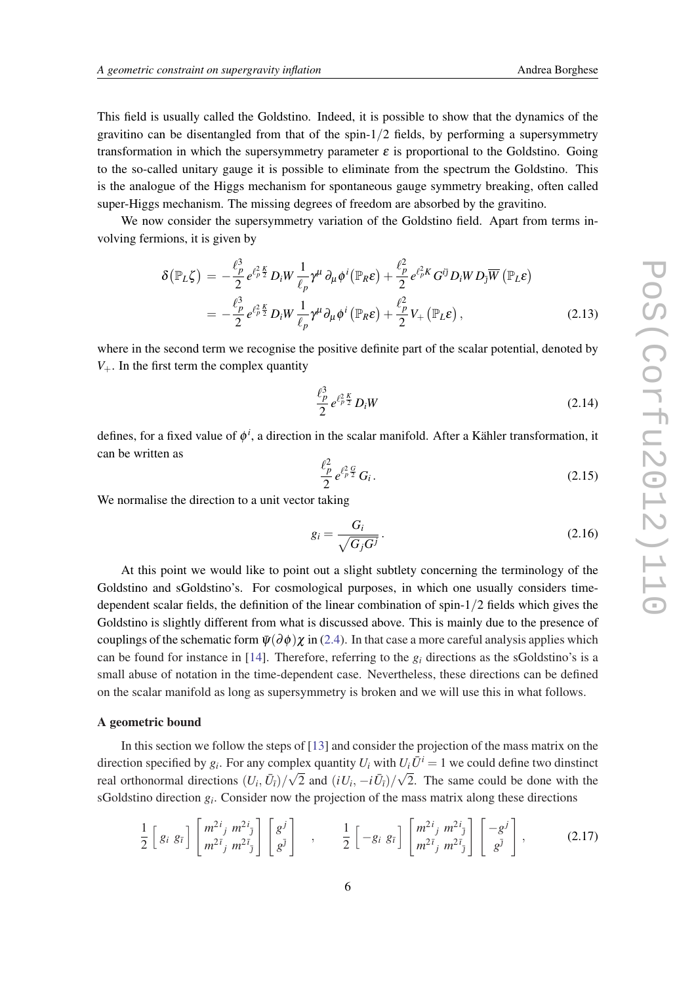This field is usually called the Goldstino. Indeed, it is possible to show that the dynamics of the gravitino can be disentangled from that of the spin- $1/2$  fields, by performing a supersymmetry transformation in which the supersymmetry parameter  $\varepsilon$  is proportional to the Goldstino. Going to the so-called unitary gauge it is possible to eliminate from the spectrum the Goldstino. This is the analogue of the Higgs mechanism for spontaneous gauge symmetry breaking, often called super-Higgs mechanism. The missing degrees of freedom are absorbed by the gravitino.

We now consider the supersymmetry variation of the Goldstino field. Apart from terms involving fermions, it is given by

$$
\delta(\mathbb{P}_{L}\zeta) = -\frac{\ell_p^3}{2} e^{\ell_p^2 \frac{\kappa}{2}} D_i W \frac{1}{\ell_p} \gamma^{\mu} \partial_{\mu} \phi^i(\mathbb{P}_{R} \varepsilon) + \frac{\ell_p^2}{2} e^{\ell_p^2 K} G^{i\bar{j}} D_i W D_{\bar{j}} \overline{W} (\mathbb{P}_{L} \varepsilon)
$$
  
= 
$$
-\frac{\ell_p^3}{2} e^{\ell_p^2 \frac{\kappa}{2}} D_i W \frac{1}{\ell_p} \gamma^{\mu} \partial_{\mu} \phi^i (\mathbb{P}_{R} \varepsilon) + \frac{\ell_p^2}{2} V_+ (\mathbb{P}_{L} \varepsilon),
$$
 (2.13)

where in the second term we recognise the positive definite part of the scalar potential, denoted by  $V_{+}$ . In the first term the complex quantity

$$
\frac{\ell_p^3}{2} \, e^{\ell_p^2 \frac{K}{2}} \, D_i W \tag{2.14}
$$

defines, for a fixed value of  $\phi^i$ , a direction in the scalar manifold. After a Kähler transformation, it can be written as

$$
\frac{\ell_p^2}{2} e^{\ell_p^2} \frac{G}{G_i}.
$$
\n(2.15)

We normalise the direction to a unit vector taking

$$
g_i = \frac{G_i}{\sqrt{G_j G^j}}.
$$
\n(2.16)

At this point we would like to point out a slight subtlety concerning the terminology of the Goldstino and sGoldstino's. For cosmological purposes, in which one usually considers timedependent scalar fields, the definition of the linear combination of spin-1/2 fields which gives the Goldstino is slightly different from what is discussed above. This is mainly due to the presence of couplings of the schematic form  $\bar{\psi}(\partial \phi) \chi$  in [\(2.4](#page-3-0)). In that case a more careful analysis applies which can be found for instance in [\[14](#page-12-0)]. Therefore, referring to the  $g_i$  directions as the sGoldstino's is a small abuse of notation in the time-dependent case. Nevertheless, these directions can be defined on the scalar manifold as long as supersymmetry is broken and we will use this in what follows.

# A geometric bound

In this section we follow the steps of [[13\]](#page-12-0) and consider the projection of the mass matrix on the direction specified by  $g_i$ . For any complex quantity  $U_i$  with  $U_i \overline{U}^i = 1$  we could define two dinstinct real orthonormal directions  $(U_i, \bar{U}_i)/\sqrt{2}$  and  $(iU_i, -i\bar{U}_i)/\sqrt{2}$ . The same could be done with the sGoldstino direction *g<sup>i</sup>* . Consider now the projection of the mass matrix along these directions

$$
\frac{1}{2}\left[g_i\;g_{\bar{i}}\right]\begin{bmatrix}m^{2i}_{j}\;m^{2i}_{\bar{j}}\\m^{2\bar{i}}_{j}\;m^{2\bar{i}}_{\bar{j}}\end{bmatrix}\begin{bmatrix}g^{j}\\g^{\bar{j}}\end{bmatrix}\quad,\qquad\frac{1}{2}\left[-g_i\;g_{\bar{i}}\right]\begin{bmatrix}m^{2i}_{j}\;m^{2i}_{\bar{j}}\\m^{2\bar{i}}_{j}\;m^{2\bar{i}}_{\bar{j}}\end{bmatrix}\begin{bmatrix}-g^{j}\\g^{\bar{j}}\end{bmatrix},\qquad(2.17)
$$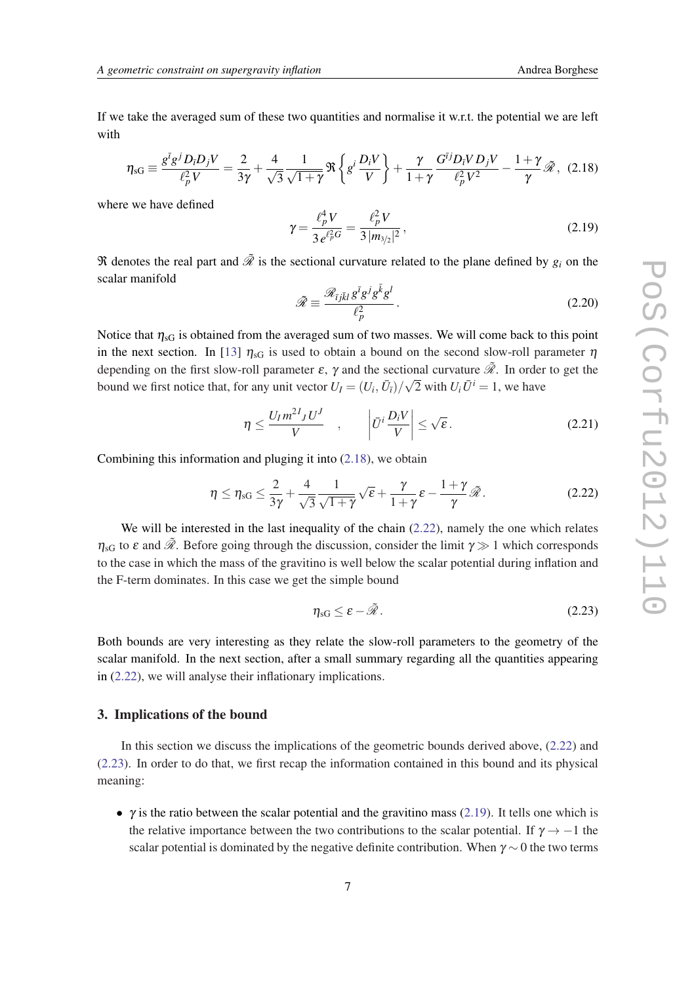<span id="page-6-0"></span>If we take the averaged sum of these two quantities and normalise it w.r.t. the potential we are left with

$$
\eta_{\rm sG} \equiv \frac{g^{\bar{i}}g^j D_{\bar{i}} D_j V}{\ell_p^2 V} = \frac{2}{3\gamma} + \frac{4}{\sqrt{3}} \frac{1}{\sqrt{1+\gamma}} \Re \left\{ g^i \frac{D_i V}{V} \right\} + \frac{\gamma}{1+\gamma} \frac{G^{\bar{i}j} D_{\bar{i}} V D_j V}{\ell_p^2 V^2} - \frac{1+\gamma}{\gamma} \tilde{\mathcal{R}}, \tag{2.18}
$$

where we have defined

$$
\gamma = \frac{\ell_p^4 V}{3 e^{\ell_p^2 G}} = \frac{\ell_p^2 V}{3 |m_{3/2}|^2},
$$
\n(2.19)

 $\Re$  denotes the real part and  $\tilde{\mathcal{R}}$  is the sectional curvature related to the plane defined by  $g_i$  on the scalar manifold

$$
\tilde{\mathcal{R}} \equiv \frac{\mathcal{R}_{\bar{i}j\bar{k}l} g^{\bar{i}} g^j g^{\bar{k}} g^l}{\ell_p^2}.
$$
\n(2.20)

Notice that  $\eta_{\text{sG}}$  is obtained from the averaged sum of two masses. We will come back to this point in the next section. In [\[13\]](#page-12-0)  $\eta_{\rm sG}$  is used to obtain a bound on the second slow-roll parameter  $\eta$ depending on the first slow-roll parameter  $\varepsilon$ ,  $\gamma$  and the sectional curvature  $\tilde{\mathcal{R}}$ . In order to get the bound we first notice that, for any unit vector  $U_I = (U_i, \bar{U}_i)/\sqrt{2}$  with  $U_i \bar{U}^i = 1$ , we have

$$
\eta \le \frac{U_I m^{2I} J U^J}{V} \quad , \qquad \left| \bar{U}^i \frac{D_i V}{V} \right| \le \sqrt{\varepsilon} \,.
$$

Combining this information and pluging it into (2.18), we obtain

$$
\eta \le \eta_{\rm sG} \le \frac{2}{3\gamma} + \frac{4}{\sqrt{3}} \frac{1}{\sqrt{1+\gamma}} \sqrt{\epsilon} + \frac{\gamma}{1+\gamma} \epsilon - \frac{1+\gamma}{\gamma} \tilde{\mathcal{R}}.
$$
 (2.22)

We will be interested in the last inequality of the chain (2.22), namely the one which relates  $\eta_{\rm sG}$  to  $\varepsilon$  and  $\tilde{\mathcal{R}}$ . Before going through the discussion, consider the limit  $\gamma \gg 1$  which corresponds to the case in which the mass of the gravitino is well below the scalar potential during inflation and the F-term dominates. In this case we get the simple bound

$$
\eta_{\rm sG} \le \varepsilon - \tilde{\mathcal{R}} \,. \tag{2.23}
$$

Both bounds are very interesting as they relate the slow-roll parameters to the geometry of the scalar manifold. In the next section, after a small summary regarding all the quantities appearing in (2.22), we will analyse their inflationary implications.

## 3. Implications of the bound

In this section we discuss the implications of the geometric bounds derived above, (2.22) and (2.23). In order to do that, we first recap the information contained in this bound and its physical meaning:

•  $\gamma$  is the ratio between the scalar potential and the gravitino mass (2.19). It tells one which is the relative importance between the two contributions to the scalar potential. If  $\gamma \rightarrow -1$  the scalar potential is dominated by the negative definite contribution. When  $\gamma \sim 0$  the two terms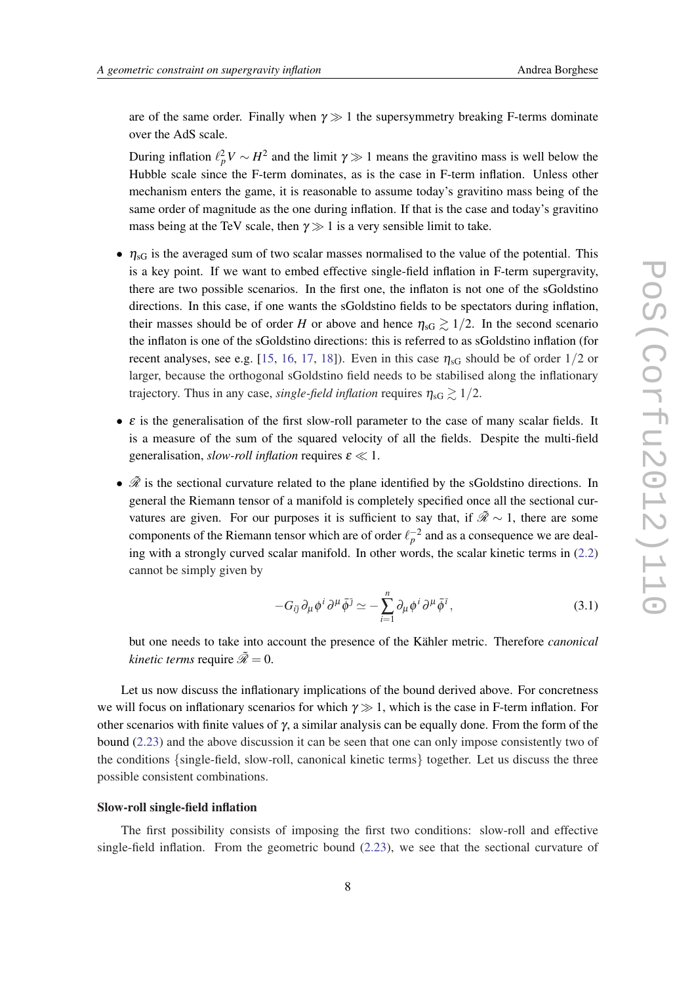are of the same order. Finally when  $\gamma \gg 1$  the supersymmetry breaking F-terms dominate over the AdS scale.

During inflation  $\ell_p^2 V \sim H^2$  and the limit  $\gamma \gg 1$  means the gravitino mass is well below the Hubble scale since the F-term dominates, as is the case in F-term inflation. Unless other mechanism enters the game, it is reasonable to assume today's gravitino mass being of the same order of magnitude as the one during inflation. If that is the case and today's gravitino mass being at the TeV scale, then  $\gamma \gg 1$  is a very sensible limit to take.

- $\eta_{\rm sG}$  is the averaged sum of two scalar masses normalised to the value of the potential. This is a key point. If we want to embed effective single-field inflation in F-term supergravity, there are two possible scenarios. In the first one, the inflaton is not one of the sGoldstino directions. In this case, if one wants the sGoldstino fields to be spectators during inflation, their masses should be of order *H* or above and hence  $\eta_{\text{SG}} \gtrsim 1/2$ . In the second scenario the inflaton is one of the sGoldstino directions: this is referred to as sGoldstino inflation (for recent analyses, see e.g. [[15](#page-12-0), [16](#page-12-0), [17](#page-12-0), [18](#page-12-0)]). Even in this case  $\eta_{\rm sG}$  should be of order  $1/2$  or larger, because the orthogonal sGoldstino field needs to be stabilised along the inflationary trajectory. Thus in any case, *single-field inflation* requires  $\eta_{\rm sG} \gtrsim 1/2$ .
- $\bullet$   $\varepsilon$  is the generalisation of the first slow-roll parameter to the case of many scalar fields. It is a measure of the sum of the squared velocity of all the fields. Despite the multi-field generalisation, *slow-roll inflation* requires  $\varepsilon \ll 1$ .
- $\tilde{\mathcal{R}}$  is the sectional curvature related to the plane identified by the sGoldstino directions. In general the Riemann tensor of a manifold is completely specified once all the sectional curvatures are given. For our purposes it is sufficient to say that, if  $\tilde{\mathcal{R}} \sim 1$ , there are some components of the Riemann tensor which are of order  $\ell_p^{-2}$  and as a consequence we are dealing with a strongly curved scalar manifold. In other words, the scalar kinetic terms in ([2.2](#page-3-0)) cannot be simply given by

$$
-G_{i\bar{j}}\partial_{\mu}\phi^{i}\partial^{\mu}\bar{\phi}^{j} \simeq -\sum_{i=1}^{n} \partial_{\mu}\phi^{i}\partial^{\mu}\bar{\phi}^{i}, \qquad (3.1)
$$

but one needs to take into account the presence of the Kähler metric. Therefore *canonical kinetic terms* require  $\tilde{\mathcal{R}} = 0$ .

Let us now discuss the inflationary implications of the bound derived above. For concretness we will focus on inflationary scenarios for which  $\gamma \gg 1$ , which is the case in F-term inflation. For other scenarios with finite values of  $\gamma$ , a similar analysis can be equally done. From the form of the bound [\(2.23](#page-6-0)) and the above discussion it can be seen that one can only impose consistently two of the conditions {single-field, slow-roll, canonical kinetic terms} together. Let us discuss the three possible consistent combinations.

### Slow-roll single-field inflation

The first possibility consists of imposing the first two conditions: slow-roll and effective single-field inflation. From the geometric bound ([2.23\)](#page-6-0), we see that the sectional curvature of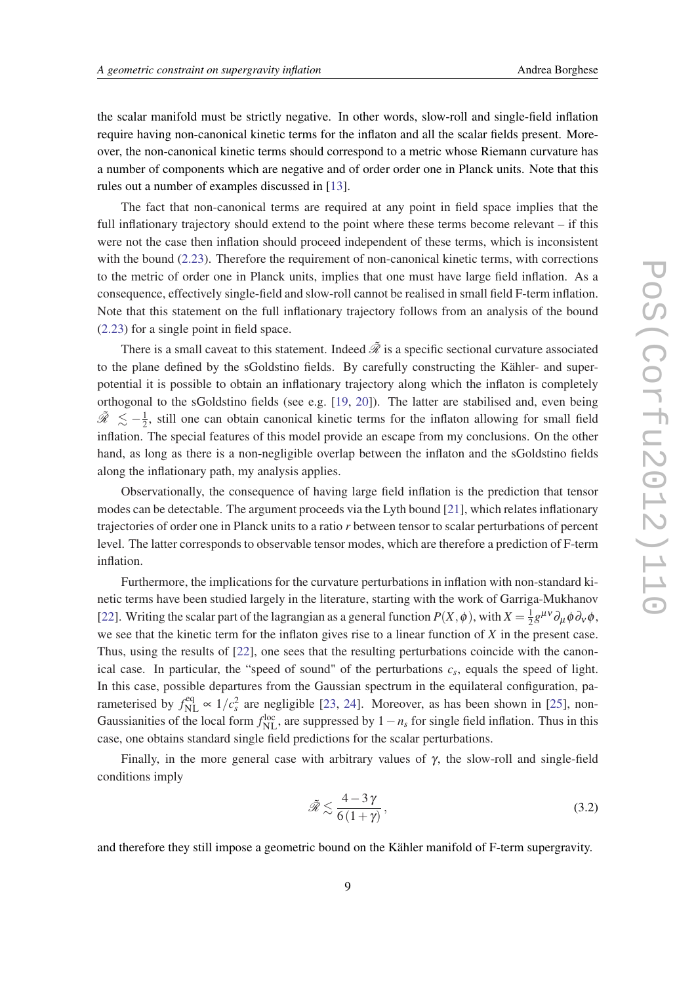the scalar manifold must be strictly negative. In other words, slow-roll and single-field inflation require having non-canonical kinetic terms for the inflaton and all the scalar fields present. Moreover, the non-canonical kinetic terms should correspond to a metric whose Riemann curvature has a number of components which are negative and of order order one in Planck units. Note that this rules out a number of examples discussed in [[13](#page-12-0)].

The fact that non-canonical terms are required at any point in field space implies that the full inflationary trajectory should extend to the point where these terms become relevant – if this were not the case then inflation should proceed independent of these terms, which is inconsistent with the bound ([2.23\)](#page-6-0). Therefore the requirement of non-canonical kinetic terms, with corrections to the metric of order one in Planck units, implies that one must have large field inflation. As a consequence, effectively single-field and slow-roll cannot be realised in small field F-term inflation. Note that this statement on the full inflationary trajectory follows from an analysis of the bound ([2.23](#page-6-0)) for a single point in field space.

There is a small caveat to this statement. Indeed  $\tilde{\mathcal{R}}$  is a specific sectional curvature associated to the plane defined by the sGoldstino fields. By carefully constructing the Kähler- and superpotential it is possible to obtain an inflationary trajectory along which the inflaton is completely orthogonal to the sGoldstino fields (see e.g. [[19,](#page-12-0) [20](#page-12-0)]). The latter are stabilised and, even being  $\tilde{\mathscr{R}} \precsim -\frac{1}{2}$  $\frac{1}{2}$ , still one can obtain canonical kinetic terms for the inflaton allowing for small field inflation. The special features of this model provide an escape from my conclusions. On the other hand, as long as there is a non-negligible overlap between the inflaton and the sGoldstino fields along the inflationary path, my analysis applies.

Observationally, the consequence of having large field inflation is the prediction that tensor modes can be detectable. The argument proceeds via the Lyth bound [[21\]](#page-13-0), which relates inflationary trajectories of order one in Planck units to a ratio *r* between tensor to scalar perturbations of percent level. The latter corresponds to observable tensor modes, which are therefore a prediction of F-term inflation.

Furthermore, the implications for the curvature perturbations in inflation with non-standard kinetic terms have been studied largely in the literature, starting with the work of Garriga-Mukhanov [[22\]](#page-13-0). Writing the scalar part of the lagrangian as a general function  $P(X, \phi)$ , with  $X = \frac{1}{2}$  $\frac{1}{2}g^{\mu\nu}\partial_{\mu}\phi\partial_{\nu}\phi,$ we see that the kinetic term for the inflaton gives rise to a linear function of *X* in the present case. Thus, using the results of [[22\]](#page-13-0), one sees that the resulting perturbations coincide with the canonical case. In particular, the "speed of sound" of the perturbations  $c_s$ , equals the speed of light. In this case, possible departures from the Gaussian spectrum in the equilateral configuration, parameterised by  $f_{\text{NL}}^{\text{eq}} \propto 1/c_s^2$  are negligible [[23,](#page-13-0) [24](#page-13-0)]. Moreover, as has been shown in [[25\]](#page-13-0), non-Gaussianities of the local form  $f_{\text{NL}}^{\text{loc}}$ , are suppressed by  $1 - n_s$  for single field inflation. Thus in this case, one obtains standard single field predictions for the scalar perturbations.

Finally, in the more general case with arbitrary values of  $γ$ , the slow-roll and single-field conditions imply

$$
\tilde{\mathcal{R}} \lesssim \frac{4-3\,\gamma}{6\,(1+\gamma)},\tag{3.2}
$$

and therefore they still impose a geometric bound on the Kähler manifold of F-term supergravity.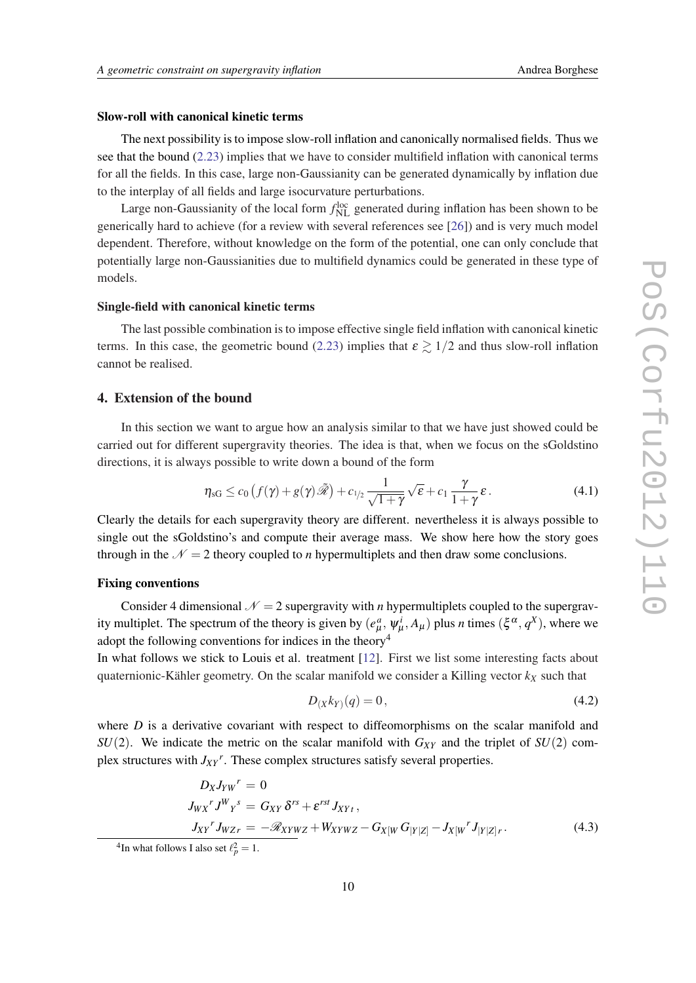# <span id="page-9-0"></span>Slow-roll with canonical kinetic terms

The next possibility is to impose slow-roll inflation and canonically normalised fields. Thus we see that the bound ([2.23\)](#page-6-0) implies that we have to consider multifield inflation with canonical terms for all the fields. In this case, large non-Gaussianity can be generated dynamically by inflation due to the interplay of all fields and large isocurvature perturbations.

Large non-Gaussianity of the local form  $f_{\text{NL}}^{\text{loc}}$  generated during inflation has been shown to be generically hard to achieve (for a review with several references see [[26\]](#page-13-0)) and is very much model dependent. Therefore, without knowledge on the form of the potential, one can only conclude that potentially large non-Gaussianities due to multifield dynamics could be generated in these type of models.

#### Single-field with canonical kinetic terms

The last possible combination is to impose effective single field inflation with canonical kinetic terms. In this case, the geometric bound ([2.23](#page-6-0)) implies that  $\varepsilon \geq 1/2$  and thus slow-roll inflation cannot be realised.

# 4. Extension of the bound

In this section we want to argue how an analysis similar to that we have just showed could be carried out for different supergravity theories. The idea is that, when we focus on the sGoldstino directions, it is always possible to write down a bound of the form

$$
\eta_{\rm sG} \le c_0 \left( f(\gamma) + g(\gamma) \tilde{\mathscr{R}} \right) + c_{1/2} \frac{1}{\sqrt{1+\gamma}} \sqrt{\epsilon} + c_1 \frac{\gamma}{1+\gamma} \epsilon. \tag{4.1}
$$

Clearly the details for each supergravity theory are different. nevertheless it is always possible to single out the sGoldstino's and compute their average mass. We show here how the story goes through in the  $N = 2$  theory coupled to *n* hypermultiplets and then draw some conclusions.

# Fixing conventions

Consider 4 dimensional  $\mathcal{N} = 2$  supergravity with *n* hypermultiplets coupled to the supergravity multiplet. The spectrum of the theory is given by  $(e_\mu^a, \psi_\mu^i, A_\mu)$  plus *n* times  $(\xi^\alpha, q^X)$ , where we adopt the following conventions for indices in the theory<sup>4</sup>

In what follows we stick to Louis et al. treatment [\[12](#page-12-0)]. First we list some interesting facts about quaternionic-Kähler geometry. On the scalar manifold we consider a Killing vector  $k_X$  such that

$$
D_{(X}k_{Y)}(q) = 0, \t\t(4.2)
$$

where *D* is a derivative covariant with respect to diffeomorphisms on the scalar manifold and  $SU(2)$ . We indicate the metric on the scalar manifold with  $G_{XY}$  and the triplet of  $SU(2)$  complex structures with *JXY r* . These complex structures satisfy several properties.

$$
D_X J_{YW}^r = 0
$$
  
\n
$$
J_{WX}^r J^W Y^s = G_{XY} \delta^{rs} + \varepsilon^{rst} J_{XYt},
$$
  
\n
$$
J_{XY}^r J_{WZr} = -\mathcal{R}_{XYWZ} + W_{XYWZ} - G_{X[W} G_{|Y|Z]} - J_{X[W}^r J_{|Y|Z]r}.
$$
\n(4.3)

<sup>&</sup>lt;sup>4</sup>In what follows I also set  $\ell_p^2 = 1$ .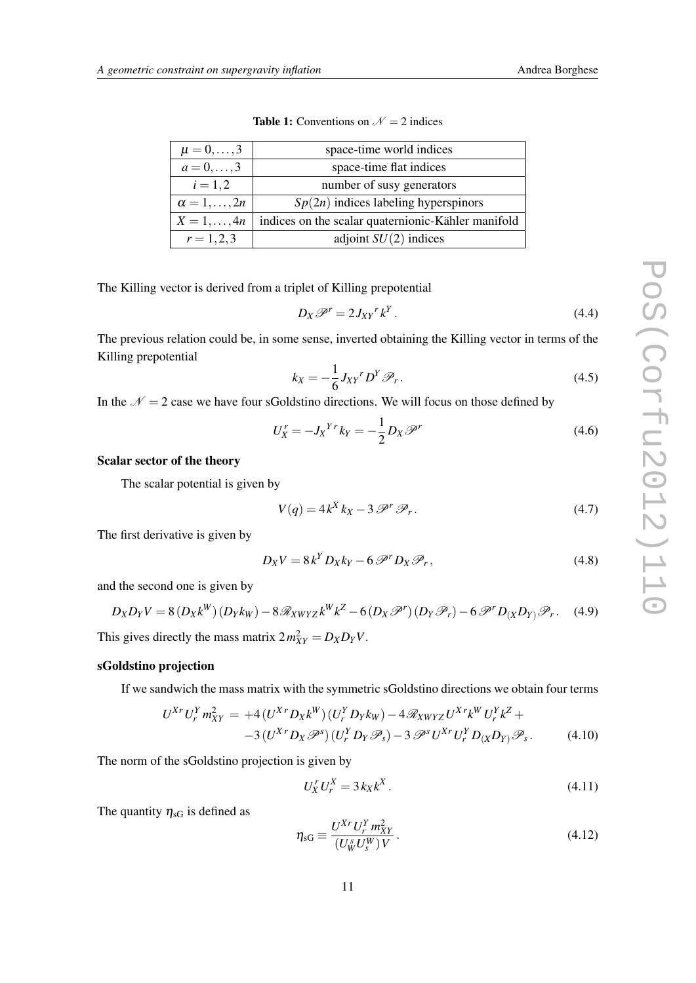| $\mu = 0, , 3$           | space-time world indices                           |
|--------------------------|----------------------------------------------------|
| $a = 0, \ldots, 3$       | space-time flat indices                            |
| $i = 1, 2$               | number of susy generators                          |
| $\alpha = 1, \ldots, 2n$ | $Sp(2n)$ indices labeling hyperspinors             |
| $X=1,\ldots,4n$          | indices on the scalar quaternionic-Kähler manifold |
| $r = 1, 2, 3$            | adjoint $SU(2)$ indices                            |

**Table 1:** Conventions on  $\mathcal{N} = 2$  indices

The Killing vector is derived from a triplet of Killing prepotential

$$
D_X \mathscr{P}^r = 2J_{XY}{}^r k^Y. \tag{4.4}
$$

The previous relation could be, in some sense, inverted obtaining the Killing vector in terms of the Killing prepotential

$$
k_X = -\frac{1}{6} J_{XY}^r D^Y \mathcal{P}_r. \tag{4.5}
$$

In the  $N = 2$  case we have four sGoldstino directions. We will focus on those defined by

$$
U_X^r = -J_X^{\gamma}{}^r k_Y = -\frac{1}{2} D_X \mathcal{P}^r \tag{4.6}
$$

## Scalar sector of the theory

The scalar potential is given by

$$
V(q) = 4k^X k_X - 3 \mathcal{P}^r \mathcal{P}_r. \tag{4.7}
$$

The first derivative is given by

$$
D_X V = 8k^Y D_X k_Y - 6 \mathcal{P}^r D_X \mathcal{P}_r, \qquad (4.8)
$$

and the second one is given by

$$
D_X D_Y V = 8(D_X k^W)(D_Y k_W) - 8\mathcal{R}_{XWYZ} k^W k^Z - 6(D_X \mathcal{P}^r)(D_Y \mathcal{P}_r) - 6\mathcal{P}^r D_{(X} D_Y) \mathcal{P}_r.
$$
 (4.9)

This gives directly the mass matrix  $2 m_{XY}^2 = D_X D_Y V$ .

# sGoldstino projection

If we sandwich the mass matrix with the symmetric sGoldstino directions we obtain four terms

$$
U^{Xr} U_r^Y m_{XY}^2 = +4 (U^{Xr} D_X k^W) (U_r^Y D_Y k_W) - 4 \mathcal{R}_{XWYZ} U^{Xr} k^W U_r^Y k^Z +-3 (U^{Xr} D_X \mathcal{P}^s) (U_r^Y D_Y \mathcal{P}_s) - 3 \mathcal{P}^s U^{Xr} U_r^Y D_{(X} D_Y \mathcal{P}_s.
$$
 (4.10)

The norm of the sGoldstino projection is given by

$$
U_X^r U_r^X = 3 k_X k^X. \tag{4.11}
$$

The quantity  $\eta_{\rm sG}$  is defined as

$$
\eta_{\rm sG} \equiv \frac{U^{Xr} U_r^Y m_{XY}^2}{(U_W^s U_s^W) V}.
$$
\n(4.12)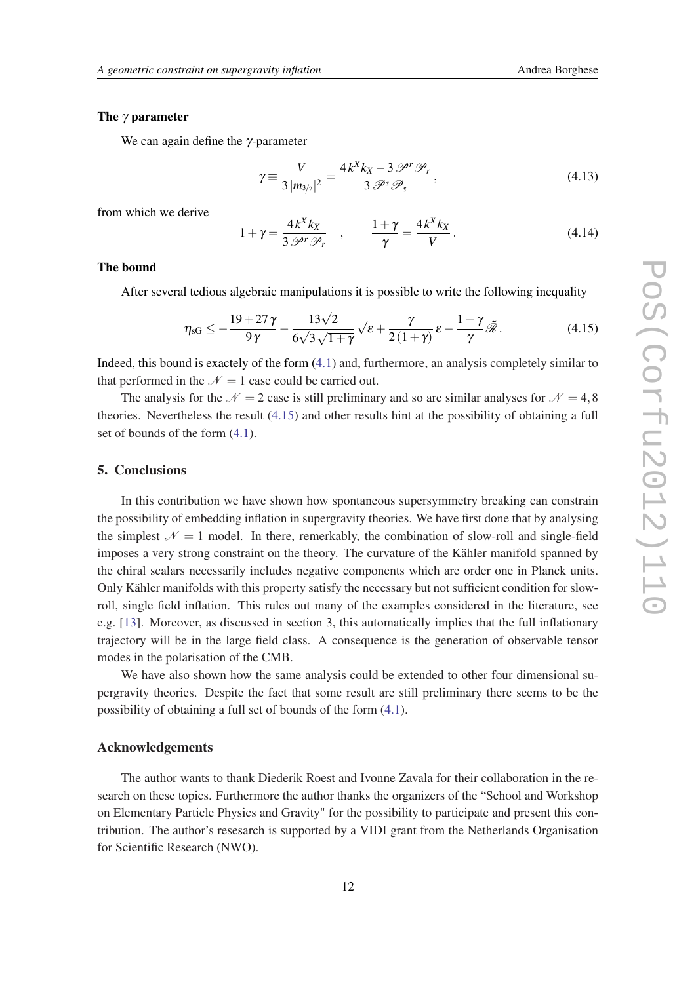#### The  $\gamma$  parameter

We can again define the  $\gamma$ -parameter

$$
\gamma \equiv \frac{V}{3 \left| m_{3/2} \right|^2} = \frac{4 k^X k_X - 3 \mathcal{P}^r \mathcal{P}_r}{3 \mathcal{P}^s \mathcal{P}_s},\tag{4.13}
$$

from which we derive

$$
1 + \gamma = \frac{4k^X k_X}{3 \mathcal{P}^r \mathcal{P}_r} \quad , \qquad \frac{1 + \gamma}{\gamma} = \frac{4k^X k_X}{V} \,. \tag{4.14}
$$

#### The bound

After several tedious algebraic manipulations it is possible to write the following inequality

$$
\eta_{\rm sG} \le -\frac{19 + 27\gamma}{9\gamma} - \frac{13\sqrt{2}}{6\sqrt{3}\sqrt{1+\gamma}}\sqrt{\epsilon} + \frac{\gamma}{2(1+\gamma)}\epsilon - \frac{1+\gamma}{\gamma}\tilde{\mathcal{R}}.\tag{4.15}
$$

Indeed, this bound is exactely of the form [\(4.1\)](#page-9-0) and, furthermore, an analysis completely similar to that performed in the  $\mathcal{N} = 1$  case could be carried out.

The analysis for the  $\mathcal{N} = 2$  case is still preliminary and so are similar analyses for  $\mathcal{N} = 4,8$ theories. Nevertheless the result (4.15) and other results hint at the possibility of obtaining a full set of bounds of the form ([4.1](#page-9-0)).

# 5. Conclusions

In this contribution we have shown how spontaneous supersymmetry breaking can constrain the possibility of embedding inflation in supergravity theories. We have first done that by analysing the simplest  $\mathcal{N} = 1$  model. In there, remerkably, the combination of slow-roll and single-field imposes a very strong constraint on the theory. The curvature of the Kähler manifold spanned by the chiral scalars necessarily includes negative components which are order one in Planck units. Only Kähler manifolds with this property satisfy the necessary but not sufficient condition for slowroll, single field inflation. This rules out many of the examples considered in the literature, see e.g. [[13\]](#page-12-0). Moreover, as discussed in section 3, this automatically implies that the full inflationary trajectory will be in the large field class. A consequence is the generation of observable tensor modes in the polarisation of the CMB.

We have also shown how the same analysis could be extended to other four dimensional supergravity theories. Despite the fact that some result are still preliminary there seems to be the possibility of obtaining a full set of bounds of the form [\(4.1\)](#page-9-0).

# Acknowledgements

The author wants to thank Diederik Roest and Ivonne Zavala for their collaboration in the research on these topics. Furthermore the author thanks the organizers of the "School and Workshop on Elementary Particle Physics and Gravity" for the possibility to participate and present this contribution. The author's resesarch is supported by a VIDI grant from the Netherlands Organisation for Scientific Research (NWO).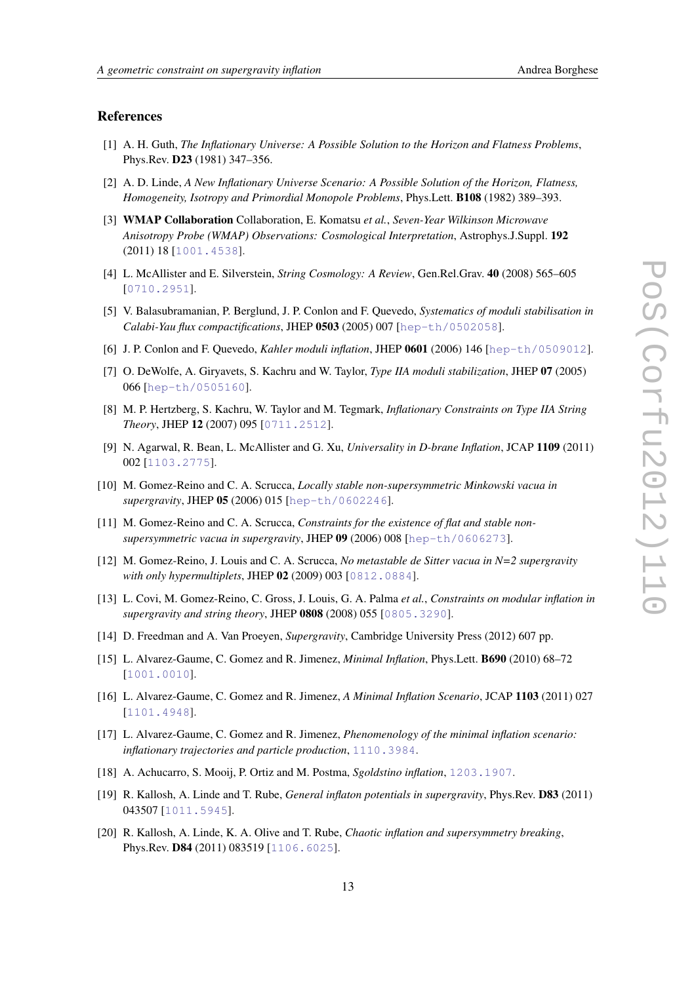### <span id="page-12-0"></span>References

- [1] A. H. Guth, *The Inflationary Universe: A Possible Solution to the Horizon and Flatness Problems*, Phys.Rev. D23 (1981) 347–356.
- [2] A. D. Linde, *A New Inflationary Universe Scenario: A Possible Solution of the Horizon, Flatness, Homogeneity, Isotropy and Primordial Monopole Problems*, Phys.Lett. B108 (1982) 389–393.
- [3] WMAP Collaboration Collaboration, E. Komatsu *et al.*, *Seven-Year Wilkinson Microwave Anisotropy Probe (WMAP) Observations: Cosmological Interpretation*, Astrophys.J.Suppl. 192 (2011) 18 [[1001.4538](http://www.arXiv.org/abs/1001.4538)].
- [4] L. McAllister and E. Silverstein, *String Cosmology: A Review*, Gen.Rel.Grav. 40 (2008) 565–605 [[0710.2951](http://www.arXiv.org/abs/0710.2951)].
- [5] V. Balasubramanian, P. Berglund, J. P. Conlon and F. Quevedo, *Systematics of moduli stabilisation in Calabi-Yau flux compactifications*, JHEP 0503 (2005) 007 [[hep-th/0502058](http://www.arXiv.org/abs/hep-th/0502058)].
- [6] J. P. Conlon and F. Quevedo, *Kahler moduli inflation*, JHEP 0601 (2006) 146 [[hep-th/0509012](http://www.arXiv.org/abs/hep-th/0509012)].
- [7] O. DeWolfe, A. Giryavets, S. Kachru and W. Taylor, *Type IIA moduli stabilization*, JHEP 07 (2005) 066 [[hep-th/0505160](http://www.arXiv.org/abs/hep-th/0505160)].
- [8] M. P. Hertzberg, S. Kachru, W. Taylor and M. Tegmark, *Inflationary Constraints on Type IIA String Theory*, JHEP 12 (2007) 095 [[0711.2512](http://www.arXiv.org/abs/0711.2512)].
- [9] N. Agarwal, R. Bean, L. McAllister and G. Xu, *Universality in D-brane Inflation*, JCAP 1109 (2011) 002 [[1103.2775](http://www.arXiv.org/abs/1103.2775)].
- [10] M. Gomez-Reino and C. A. Scrucca, *Locally stable non-supersymmetric Minkowski vacua in supergravity*, JHEP 05 (2006) 015 [[hep-th/0602246](http://www.arXiv.org/abs/hep-th/0602246)].
- [11] M. Gomez-Reino and C. A. Scrucca, *Constraints for the existence of flat and stable nonsupersymmetric vacua in supergravity*, JHEP 09 (2006) 008 [[hep-th/0606273](http://www.arXiv.org/abs/hep-th/0606273)].
- [12] M. Gomez-Reino, J. Louis and C. A. Scrucca, *No metastable de Sitter vacua in N=2 supergravity with only hypermultiplets*, JHEP 02 (2009) 003 [[0812.0884](http://www.arXiv.org/abs/0812.0884)].
- [13] L. Covi, M. Gomez-Reino, C. Gross, J. Louis, G. A. Palma *et al.*, *Constraints on modular inflation in supergravity and string theory*, JHEP 0808 (2008) 055 [[0805.3290](http://www.arXiv.org/abs/0805.3290)].
- [14] D. Freedman and A. Van Proeyen, *Supergravity*, Cambridge University Press (2012) 607 pp.
- [15] L. Alvarez-Gaume, C. Gomez and R. Jimenez, *Minimal Inflation*, Phys.Lett. B690 (2010) 68–72 [[1001.0010](http://www.arXiv.org/abs/1001.0010)].
- [16] L. Alvarez-Gaume, C. Gomez and R. Jimenez, *A Minimal Inflation Scenario*, JCAP 1103 (2011) 027 [[1101.4948](http://www.arXiv.org/abs/1101.4948)].
- [17] L. Alvarez-Gaume, C. Gomez and R. Jimenez, *Phenomenology of the minimal inflation scenario: inflationary trajectories and particle production*, [1110.3984](http://www.arXiv.org/abs/1110.3984).
- [18] A. Achucarro, S. Mooij, P. Ortiz and M. Postma, *Sgoldstino inflation*, [1203.1907](http://www.arXiv.org/abs/1203.1907).
- [19] R. Kallosh, A. Linde and T. Rube, *General inflaton potentials in supergravity*, Phys.Rev. D83 (2011) 043507 [[1011.5945](http://www.arXiv.org/abs/1011.5945)].
- [20] R. Kallosh, A. Linde, K. A. Olive and T. Rube, *Chaotic inflation and supersymmetry breaking*, Phys.Rev. D84 (2011) 083519 [[1106.6025](http://www.arXiv.org/abs/1106.6025)].